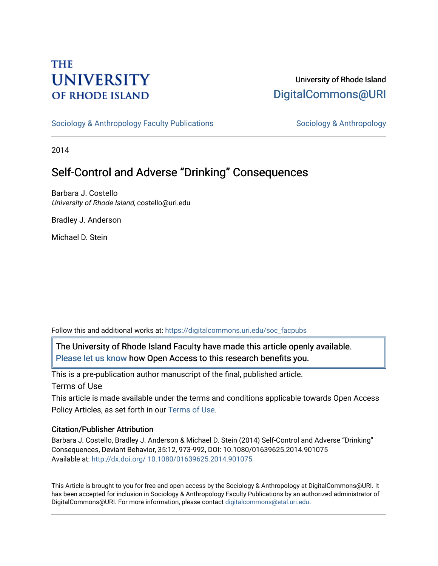# **THE UNIVERSITY OF RHODE ISLAND**

### University of Rhode Island [DigitalCommons@URI](https://digitalcommons.uri.edu/)

[Sociology & Anthropology Faculty Publications](https://digitalcommons.uri.edu/soc_facpubs) [Sociology & Anthropology](https://digitalcommons.uri.edu/soc) & Anthropology

2014

## Self-Control and Adverse "Drinking" Consequences

Barbara J. Costello University of Rhode Island, costello@uri.edu

Bradley J. Anderson

Michael D. Stein

Follow this and additional works at: [https://digitalcommons.uri.edu/soc\\_facpubs](https://digitalcommons.uri.edu/soc_facpubs?utm_source=digitalcommons.uri.edu%2Fsoc_facpubs%2F6&utm_medium=PDF&utm_campaign=PDFCoverPages) 

The University of Rhode Island Faculty have made this article openly available. [Please let us know](http://web.uri.edu/library-digital-initiatives/open-access-online-form/) how Open Access to this research benefits you.

This is a pre-publication author manuscript of the final, published article.

Terms of Use

This article is made available under the terms and conditions applicable towards Open Access Policy Articles, as set forth in our [Terms of Use](https://digitalcommons.uri.edu/soc_facpubs/oa_policy_terms.html).

#### Citation/Publisher Attribution

Barbara J. Costello, Bradley J. Anderson & Michael D. Stein (2014) Self-Control and Adverse "Drinking" Consequences, Deviant Behavior, 35:12, 973-992, DOI: 10.1080/01639625.2014.901075 Available at: [http://dx.doi.org/ 10.1080/01639625.2014.901075](http://dx.doi.org/%2010.1080/01639625.2014.901075) 

This Article is brought to you for free and open access by the Sociology & Anthropology at DigitalCommons@URI. It has been accepted for inclusion in Sociology & Anthropology Faculty Publications by an authorized administrator of DigitalCommons@URI. For more information, please contact [digitalcommons@etal.uri.edu.](mailto:digitalcommons@etal.uri.edu)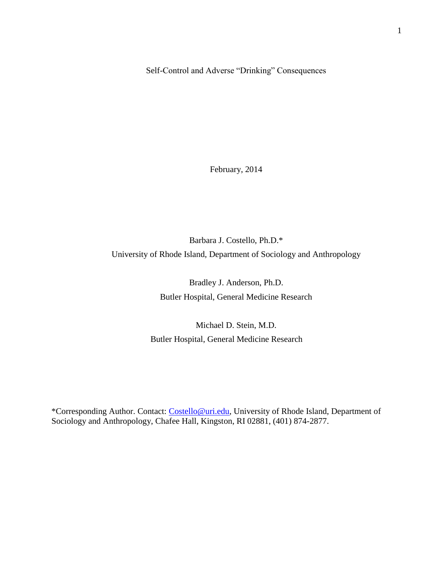Self-Control and Adverse "Drinking" Consequences

February, 2014

### Barbara J. Costello, Ph.D.\* University of Rhode Island, Department of Sociology and Anthropology

Bradley J. Anderson, Ph.D. Butler Hospital, General Medicine Research

Michael D. Stein, M.D. Butler Hospital, General Medicine Research

\*Corresponding Author. Contact: [Costello@uri.edu,](mailto:Costello@uri.edu) University of Rhode Island, Department of Sociology and Anthropology, Chafee Hall, Kingston, RI 02881, (401) 874-2877.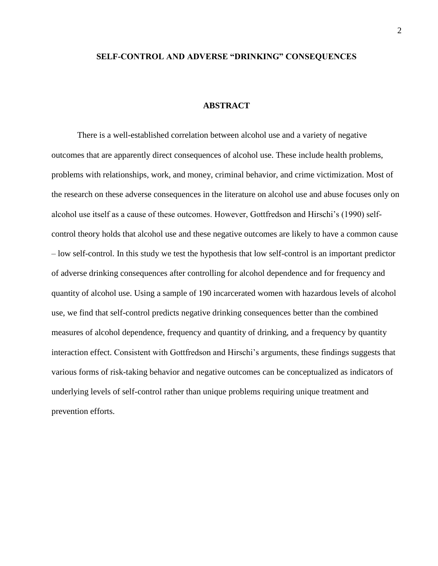#### **SELF-CONTROL AND ADVERSE "DRINKING" CONSEQUENCES**

#### **ABSTRACT**

There is a well-established correlation between alcohol use and a variety of negative outcomes that are apparently direct consequences of alcohol use. These include health problems, problems with relationships, work, and money, criminal behavior, and crime victimization. Most of the research on these adverse consequences in the literature on alcohol use and abuse focuses only on alcohol use itself as a cause of these outcomes. However, Gottfredson and Hirschi's (1990) selfcontrol theory holds that alcohol use and these negative outcomes are likely to have a common cause – low self-control. In this study we test the hypothesis that low self-control is an important predictor of adverse drinking consequences after controlling for alcohol dependence and for frequency and quantity of alcohol use. Using a sample of 190 incarcerated women with hazardous levels of alcohol use, we find that self-control predicts negative drinking consequences better than the combined measures of alcohol dependence, frequency and quantity of drinking, and a frequency by quantity interaction effect. Consistent with Gottfredson and Hirschi's arguments, these findings suggests that various forms of risk-taking behavior and negative outcomes can be conceptualized as indicators of underlying levels of self-control rather than unique problems requiring unique treatment and prevention efforts.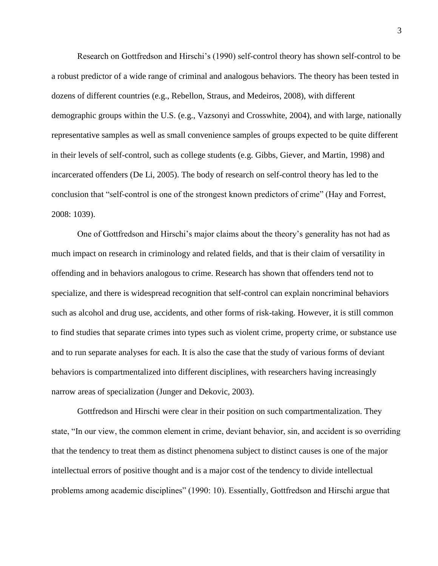Research on Gottfredson and Hirschi's (1990) self-control theory has shown self-control to be a robust predictor of a wide range of criminal and analogous behaviors. The theory has been tested in dozens of different countries (e.g., Rebellon, Straus, and Medeiros, 2008), with different demographic groups within the U.S. (e.g., Vazsonyi and Crosswhite, 2004), and with large, nationally representative samples as well as small convenience samples of groups expected to be quite different in their levels of self-control, such as college students (e.g. Gibbs, Giever, and Martin, 1998) and incarcerated offenders (De Li, 2005). The body of research on self-control theory has led to the conclusion that "self-control is one of the strongest known predictors of crime" (Hay and Forrest, 2008: 1039).

One of Gottfredson and Hirschi's major claims about the theory's generality has not had as much impact on research in criminology and related fields, and that is their claim of versatility in offending and in behaviors analogous to crime. Research has shown that offenders tend not to specialize, and there is widespread recognition that self-control can explain noncriminal behaviors such as alcohol and drug use, accidents, and other forms of risk-taking. However, it is still common to find studies that separate crimes into types such as violent crime, property crime, or substance use and to run separate analyses for each. It is also the case that the study of various forms of deviant behaviors is compartmentalized into different disciplines, with researchers having increasingly narrow areas of specialization (Junger and Dekovic, 2003).

Gottfredson and Hirschi were clear in their position on such compartmentalization. They state, "In our view, the common element in crime, deviant behavior, sin, and accident is so overriding that the tendency to treat them as distinct phenomena subject to distinct causes is one of the major intellectual errors of positive thought and is a major cost of the tendency to divide intellectual problems among academic disciplines" (1990: 10). Essentially, Gottfredson and Hirschi argue that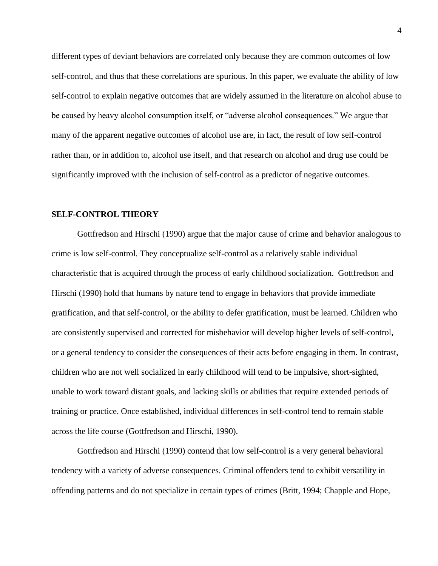different types of deviant behaviors are correlated only because they are common outcomes of low self-control, and thus that these correlations are spurious. In this paper, we evaluate the ability of low self-control to explain negative outcomes that are widely assumed in the literature on alcohol abuse to be caused by heavy alcohol consumption itself, or "adverse alcohol consequences." We argue that many of the apparent negative outcomes of alcohol use are, in fact, the result of low self-control rather than, or in addition to, alcohol use itself, and that research on alcohol and drug use could be significantly improved with the inclusion of self-control as a predictor of negative outcomes.

#### **SELF-CONTROL THEORY**

Gottfredson and Hirschi (1990) argue that the major cause of crime and behavior analogous to crime is low self-control. They conceptualize self-control as a relatively stable individual characteristic that is acquired through the process of early childhood socialization. Gottfredson and Hirschi (1990) hold that humans by nature tend to engage in behaviors that provide immediate gratification, and that self-control, or the ability to defer gratification, must be learned. Children who are consistently supervised and corrected for misbehavior will develop higher levels of self-control, or a general tendency to consider the consequences of their acts before engaging in them. In contrast, children who are not well socialized in early childhood will tend to be impulsive, short-sighted, unable to work toward distant goals, and lacking skills or abilities that require extended periods of training or practice. Once established, individual differences in self-control tend to remain stable across the life course (Gottfredson and Hirschi, 1990).

Gottfredson and Hirschi (1990) contend that low self-control is a very general behavioral tendency with a variety of adverse consequences. Criminal offenders tend to exhibit versatility in offending patterns and do not specialize in certain types of crimes (Britt, 1994; Chapple and Hope,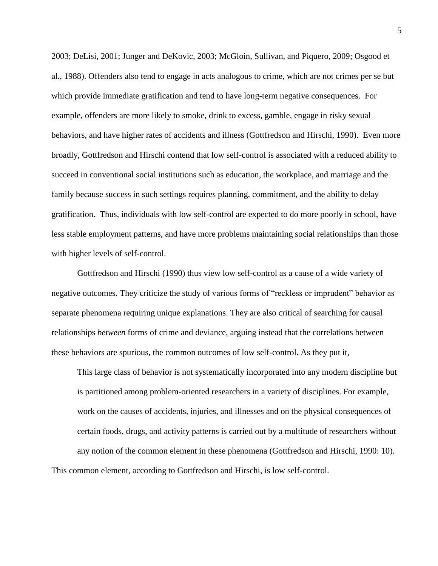2003; DeLisi, 2001; Junger and DeKovic, 2003; McGloin, Sullivan, and Piquero, 2009; Osgood et al., 1988). Offenders also tend to engage in acts analogous to crime, which are not crimes per se but which provide immediate gratification and tend to have long-term negative consequences. For example, offenders are more likely to smoke, drink to excess, gamble, engage in risky sexual behaviors, and have higher rates of accidents and illness (Gottfredson and Hirschi, 1990). Even more broadly, Gottfredson and Hirschi contend that low self-control is associated with a reduced ability to succeed in conventional social institutions such as education, the workplace, and marriage and the family because success in such settings requires planning, commitment, and the ability to delay gratification. Thus, individuals with low self-control are expected to do more poorly in school, have less stable employment patterns, and have more problems maintaining social relationships than those with higher levels of self-control.

Gottfredson and Hirschi (1990) thus view low self-control as a cause of a wide variety of negative outcomes. They criticize the study of various forms of "reckless or imprudent" behavior as separate phenomena requiring unique explanations. They are also critical of searching for causal relationships *between* forms of crime and deviance, arguing instead that the correlations between these behaviors are spurious, the common outcomes of low self-control. As they put it,

This large class of behavior is not systematically incorporated into any modern discipline but is partitioned among problem-oriented researchers in a variety of disciplines. For example, work on the causes of accidents, injuries, and illnesses and on the physical consequences of certain foods, drugs, and activity patterns is carried out by a multitude of researchers without any notion of the common element in these phenomena (Gottfredson and Hirschi, 1990: 10). This common element, according to Gottfredson and Hirschi, is low self-control.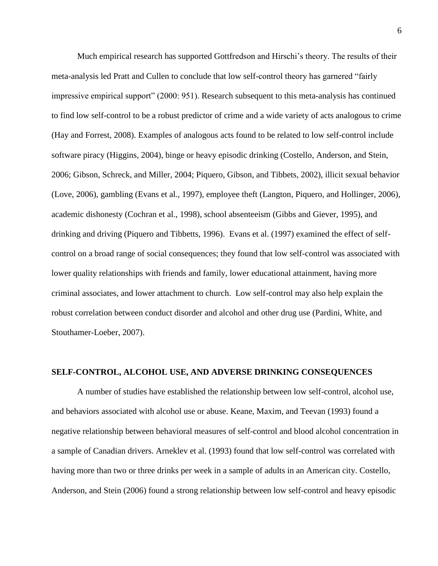Much empirical research has supported Gottfredson and Hirschi's theory. The results of their meta-analysis led Pratt and Cullen to conclude that low self-control theory has garnered "fairly impressive empirical support" (2000: 951). Research subsequent to this meta-analysis has continued to find low self-control to be a robust predictor of crime and a wide variety of acts analogous to crime (Hay and Forrest, 2008). Examples of analogous acts found to be related to low self-control include software piracy (Higgins, 2004), binge or heavy episodic drinking (Costello, Anderson, and Stein, 2006; Gibson, Schreck, and Miller, 2004; Piquero, Gibson, and Tibbets, 2002), illicit sexual behavior (Love, 2006), gambling (Evans et al., 1997), employee theft (Langton, Piquero, and Hollinger, 2006), academic dishonesty (Cochran et al., 1998), school absenteeism (Gibbs and Giever, 1995), and drinking and driving (Piquero and Tibbetts, 1996). Evans et al. (1997) examined the effect of selfcontrol on a broad range of social consequences; they found that low self-control was associated with lower quality relationships with friends and family, lower educational attainment, having more criminal associates, and lower attachment to church. Low self-control may also help explain the robust correlation between conduct disorder and alcohol and other drug use (Pardini, White, and Stouthamer-Loeber, 2007).

#### **SELF-CONTROL, ALCOHOL USE, AND ADVERSE DRINKING CONSEQUENCES**

A number of studies have established the relationship between low self-control, alcohol use, and behaviors associated with alcohol use or abuse. Keane, Maxim, and Teevan (1993) found a negative relationship between behavioral measures of self-control and blood alcohol concentration in a sample of Canadian drivers. Arneklev et al. (1993) found that low self-control was correlated with having more than two or three drinks per week in a sample of adults in an American city. Costello, Anderson, and Stein (2006) found a strong relationship between low self-control and heavy episodic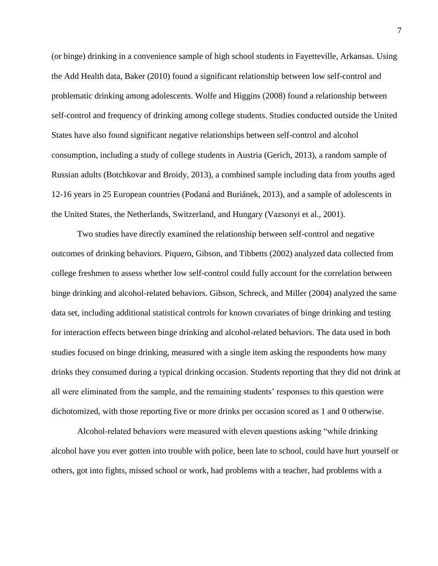(or binge) drinking in a convenience sample of high school students in Fayetteville, Arkansas. Using the Add Health data, Baker (2010) found a significant relationship between low self-control and problematic drinking among adolescents. Wolfe and Higgins (2008) found a relationship between self-control and frequency of drinking among college students. Studies conducted outside the United States have also found significant negative relationships between self-control and alcohol consumption, including a study of college students in Austria (Gerich, 2013), a random sample of Russian adults (Botchkovar and Broidy, 2013), a combined sample including data from youths aged 12-16 years in 25 European countries (Podaná and Buriánek, 2013), and a sample of adolescents in the United States, the Netherlands, Switzerland, and Hungary (Vazsonyi et al., 2001).

Two studies have directly examined the relationship between self-control and negative outcomes of drinking behaviors. Piquero, Gibson, and Tibbetts (2002) analyzed data collected from college freshmen to assess whether low self-control could fully account for the correlation between binge drinking and alcohol-related behaviors. Gibson, Schreck, and Miller (2004) analyzed the same data set, including additional statistical controls for known covariates of binge drinking and testing for interaction effects between binge drinking and alcohol-related behaviors. The data used in both studies focused on binge drinking, measured with a single item asking the respondents how many drinks they consumed during a typical drinking occasion. Students reporting that they did not drink at all were eliminated from the sample, and the remaining students' responses to this question were dichotomized, with those reporting five or more drinks per occasion scored as 1 and 0 otherwise.

Alcohol-related behaviors were measured with eleven questions asking "while drinking alcohol have you ever gotten into trouble with police, been late to school, could have hurt yourself or others, got into fights, missed school or work, had problems with a teacher, had problems with a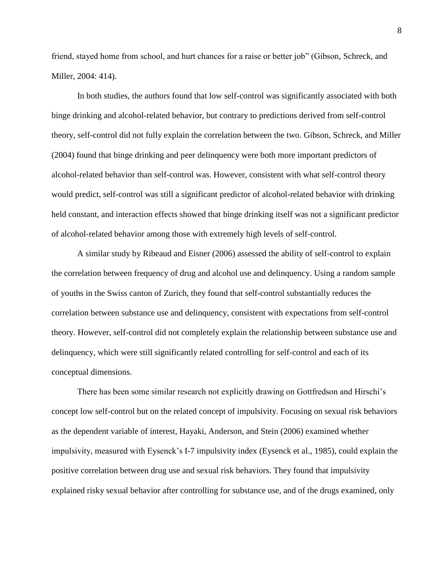friend, stayed home from school, and hurt chances for a raise or better job" (Gibson, Schreck, and Miller, 2004: 414).

In both studies, the authors found that low self-control was significantly associated with both binge drinking and alcohol-related behavior, but contrary to predictions derived from self-control theory, self-control did not fully explain the correlation between the two. Gibson, Schreck, and Miller (2004) found that binge drinking and peer delinquency were both more important predictors of alcohol-related behavior than self-control was. However, consistent with what self-control theory would predict, self-control was still a significant predictor of alcohol-related behavior with drinking held constant, and interaction effects showed that binge drinking itself was not a significant predictor of alcohol-related behavior among those with extremely high levels of self-control.

A similar study by Ribeaud and Eisner (2006) assessed the ability of self-control to explain the correlation between frequency of drug and alcohol use and delinquency. Using a random sample of youths in the Swiss canton of Zurich, they found that self-control substantially reduces the correlation between substance use and delinquency, consistent with expectations from self-control theory. However, self-control did not completely explain the relationship between substance use and delinquency, which were still significantly related controlling for self-control and each of its conceptual dimensions.

There has been some similar research not explicitly drawing on Gottfredson and Hirschi's concept low self-control but on the related concept of impulsivity. Focusing on sexual risk behaviors as the dependent variable of interest, Hayaki, Anderson, and Stein (2006) examined whether impulsivity, measured with Eysenck's I-7 impulsivity index (Eysenck et al., 1985), could explain the positive correlation between drug use and sexual risk behaviors. They found that impulsivity explained risky sexual behavior after controlling for substance use, and of the drugs examined, only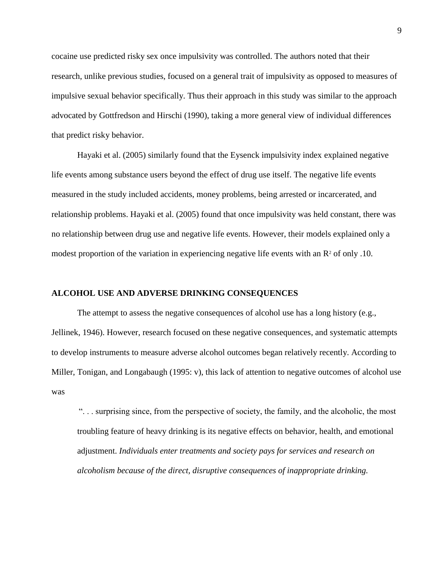cocaine use predicted risky sex once impulsivity was controlled. The authors noted that their research, unlike previous studies, focused on a general trait of impulsivity as opposed to measures of impulsive sexual behavior specifically. Thus their approach in this study was similar to the approach advocated by Gottfredson and Hirschi (1990), taking a more general view of individual differences that predict risky behavior.

Hayaki et al. (2005) similarly found that the Eysenck impulsivity index explained negative life events among substance users beyond the effect of drug use itself. The negative life events measured in the study included accidents, money problems, being arrested or incarcerated, and relationship problems. Hayaki et al. (2005) found that once impulsivity was held constant, there was no relationship between drug use and negative life events. However, their models explained only a modest proportion of the variation in experiencing negative life events with an  $\mathbb{R}^2$  of only .10.

#### **ALCOHOL USE AND ADVERSE DRINKING CONSEQUENCES**

The attempt to assess the negative consequences of alcohol use has a long history (e.g., Jellinek, 1946). However, research focused on these negative consequences, and systematic attempts to develop instruments to measure adverse alcohol outcomes began relatively recently. According to Miller, Tonigan, and Longabaugh (1995: v), this lack of attention to negative outcomes of alcohol use was

". . . surprising since, from the perspective of society, the family, and the alcoholic, the most troubling feature of heavy drinking is its negative effects on behavior, health, and emotional adjustment. *Individuals enter treatments and society pays for services and research on alcoholism because of the direct, disruptive consequences of inappropriate drinking.*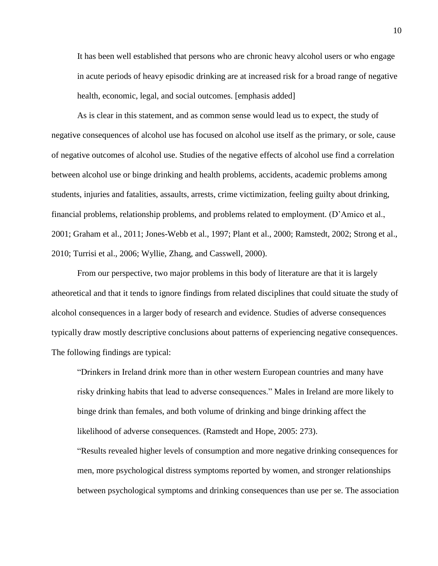It has been well established that persons who are chronic heavy alcohol users or who engage in acute periods of heavy episodic drinking are at increased risk for a broad range of negative health, economic, legal, and social outcomes. [emphasis added]

As is clear in this statement, and as common sense would lead us to expect, the study of negative consequences of alcohol use has focused on alcohol use itself as the primary, or sole, cause of negative outcomes of alcohol use. Studies of the negative effects of alcohol use find a correlation between alcohol use or binge drinking and health problems, accidents, academic problems among students, injuries and fatalities, assaults, arrests, crime victimization, feeling guilty about drinking, financial problems, relationship problems, and problems related to employment. (D'Amico et al., 2001; Graham et al., 2011; Jones-Webb et al., 1997; Plant et al., 2000; Ramstedt, 2002; Strong et al., 2010; Turrisi et al., 2006; Wyllie, Zhang, and Casswell, 2000).

From our perspective, two major problems in this body of literature are that it is largely atheoretical and that it tends to ignore findings from related disciplines that could situate the study of alcohol consequences in a larger body of research and evidence. Studies of adverse consequences typically draw mostly descriptive conclusions about patterns of experiencing negative consequences. The following findings are typical:

"Drinkers in Ireland drink more than in other western European countries and many have risky drinking habits that lead to adverse consequences." Males in Ireland are more likely to binge drink than females, and both volume of drinking and binge drinking affect the likelihood of adverse consequences. (Ramstedt and Hope, 2005: 273).

"Results revealed higher levels of consumption and more negative drinking consequences for men, more psychological distress symptoms reported by women, and stronger relationships between psychological symptoms and drinking consequences than use per se. The association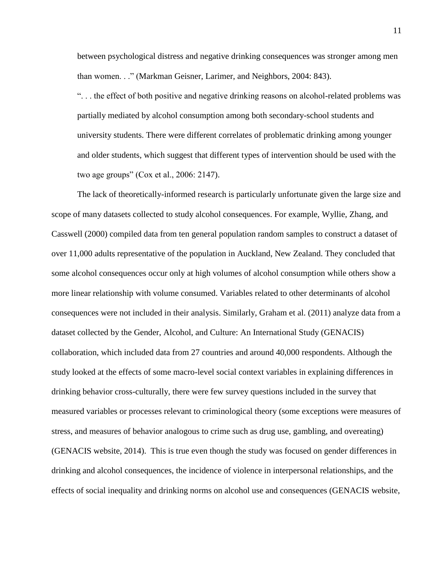between psychological distress and negative drinking consequences was stronger among men than women. . ." (Markman Geisner, Larimer, and Neighbors, 2004: 843).

". . . the effect of both positive and negative drinking reasons on alcohol-related problems was partially mediated by alcohol consumption among both secondary-school students and university students. There were different correlates of problematic drinking among younger and older students, which suggest that different types of intervention should be used with the two age groups" (Cox et al., 2006: 2147).

The lack of theoretically-informed research is particularly unfortunate given the large size and scope of many datasets collected to study alcohol consequences. For example, Wyllie, Zhang, and Casswell (2000) compiled data from ten general population random samples to construct a dataset of over 11,000 adults representative of the population in Auckland, New Zealand. They concluded that some alcohol consequences occur only at high volumes of alcohol consumption while others show a more linear relationship with volume consumed. Variables related to other determinants of alcohol consequences were not included in their analysis. Similarly, Graham et al. (2011) analyze data from a dataset collected by the Gender, Alcohol, and Culture: An International Study (GENACIS) collaboration, which included data from 27 countries and around 40,000 respondents. Although the study looked at the effects of some macro-level social context variables in explaining differences in drinking behavior cross-culturally, there were few survey questions included in the survey that measured variables or processes relevant to criminological theory (some exceptions were measures of stress, and measures of behavior analogous to crime such as drug use, gambling, and overeating) (GENACIS website, 2014). This is true even though the study was focused on gender differences in drinking and alcohol consequences, the incidence of violence in interpersonal relationships, and the effects of social inequality and drinking norms on alcohol use and consequences (GENACIS website,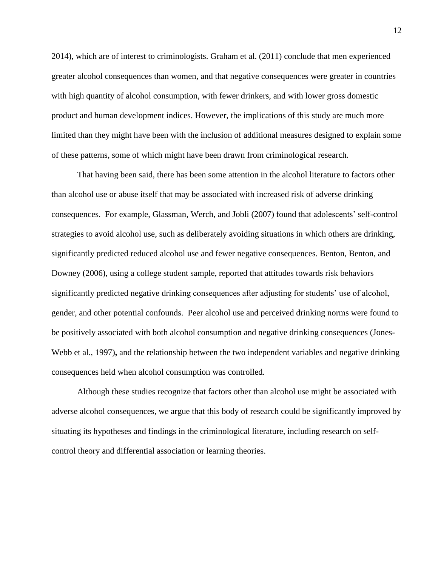2014), which are of interest to criminologists. Graham et al. (2011) conclude that men experienced greater alcohol consequences than women, and that negative consequences were greater in countries with high quantity of alcohol consumption, with fewer drinkers, and with lower gross domestic product and human development indices. However, the implications of this study are much more limited than they might have been with the inclusion of additional measures designed to explain some of these patterns, some of which might have been drawn from criminological research.

That having been said, there has been some attention in the alcohol literature to factors other than alcohol use or abuse itself that may be associated with increased risk of adverse drinking consequences. For example, Glassman, Werch, and Jobli (2007) found that adolescents' self-control strategies to avoid alcohol use, such as deliberately avoiding situations in which others are drinking, significantly predicted reduced alcohol use and fewer negative consequences. Benton, Benton, and Downey (2006), using a college student sample, reported that attitudes towards risk behaviors significantly predicted negative drinking consequences after adjusting for students' use of alcohol, gender, and other potential confounds. Peer alcohol use and perceived drinking norms were found to be positively associated with both alcohol consumption and negative drinking consequences (Jones-Webb et al., 1997)**,** and the relationship between the two independent variables and negative drinking consequences held when alcohol consumption was controlled.

Although these studies recognize that factors other than alcohol use might be associated with adverse alcohol consequences, we argue that this body of research could be significantly improved by situating its hypotheses and findings in the criminological literature, including research on selfcontrol theory and differential association or learning theories.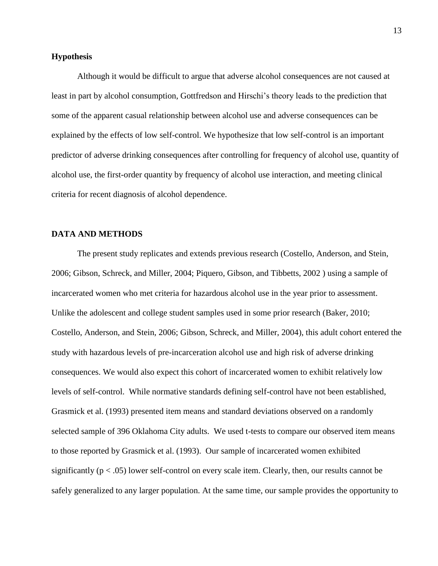#### **Hypothesis**

Although it would be difficult to argue that adverse alcohol consequences are not caused at least in part by alcohol consumption, Gottfredson and Hirschi's theory leads to the prediction that some of the apparent casual relationship between alcohol use and adverse consequences can be explained by the effects of low self-control. We hypothesize that low self-control is an important predictor of adverse drinking consequences after controlling for frequency of alcohol use, quantity of alcohol use, the first-order quantity by frequency of alcohol use interaction, and meeting clinical criteria for recent diagnosis of alcohol dependence.

#### **DATA AND METHODS**

The present study replicates and extends previous research (Costello, Anderson, and Stein, 2006; Gibson, Schreck, and Miller, 2004; Piquero, Gibson, and Tibbetts, 2002 ) using a sample of incarcerated women who met criteria for hazardous alcohol use in the year prior to assessment. Unlike the adolescent and college student samples used in some prior research (Baker, 2010; Costello, Anderson, and Stein, 2006; Gibson, Schreck, and Miller, 2004), this adult cohort entered the study with hazardous levels of pre-incarceration alcohol use and high risk of adverse drinking consequences. We would also expect this cohort of incarcerated women to exhibit relatively low levels of self-control. While normative standards defining self-control have not been established, Grasmick et al. (1993) presented item means and standard deviations observed on a randomly selected sample of 396 Oklahoma City adults. We used t-tests to compare our observed item means to those reported by Grasmick et al. (1993). Our sample of incarcerated women exhibited significantly ( $p < .05$ ) lower self-control on every scale item. Clearly, then, our results cannot be safely generalized to any larger population. At the same time, our sample provides the opportunity to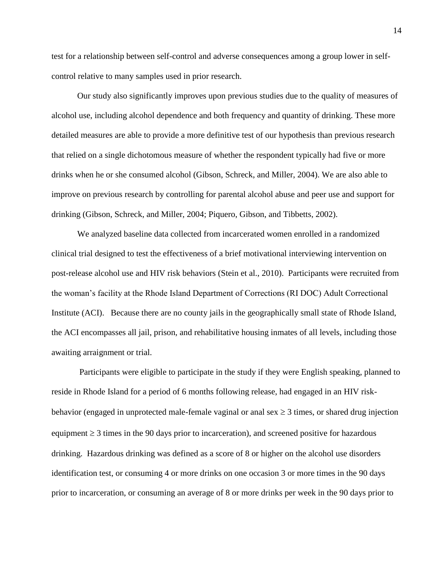test for a relationship between self-control and adverse consequences among a group lower in selfcontrol relative to many samples used in prior research.

Our study also significantly improves upon previous studies due to the quality of measures of alcohol use, including alcohol dependence and both frequency and quantity of drinking. These more detailed measures are able to provide a more definitive test of our hypothesis than previous research that relied on a single dichotomous measure of whether the respondent typically had five or more drinks when he or she consumed alcohol (Gibson, Schreck, and Miller, 2004). We are also able to improve on previous research by controlling for parental alcohol abuse and peer use and support for drinking (Gibson, Schreck, and Miller, 2004; Piquero, Gibson, and Tibbetts, 2002).

We analyzed baseline data collected from incarcerated women enrolled in a randomized clinical trial designed to test the effectiveness of a brief motivational interviewing intervention on post-release alcohol use and HIV risk behaviors (Stein et al., 2010). Participants were recruited from the woman's facility at the Rhode Island Department of Corrections (RI DOC) Adult Correctional Institute (ACI). Because there are no county jails in the geographically small state of Rhode Island, the ACI encompasses all jail, prison, and rehabilitative housing inmates of all levels, including those awaiting arraignment or trial.

Participants were eligible to participate in the study if they were English speaking, planned to reside in Rhode Island for a period of 6 months following release, had engaged in an HIV riskbehavior (engaged in unprotected male-female vaginal or anal sex  $\geq$  3 times, or shared drug injection equipment  $\geq 3$  times in the 90 days prior to incarceration), and screened positive for hazardous drinking. Hazardous drinking was defined as a score of 8 or higher on the alcohol use disorders identification test, or consuming 4 or more drinks on one occasion 3 or more times in the 90 days prior to incarceration, or consuming an average of 8 or more drinks per week in the 90 days prior to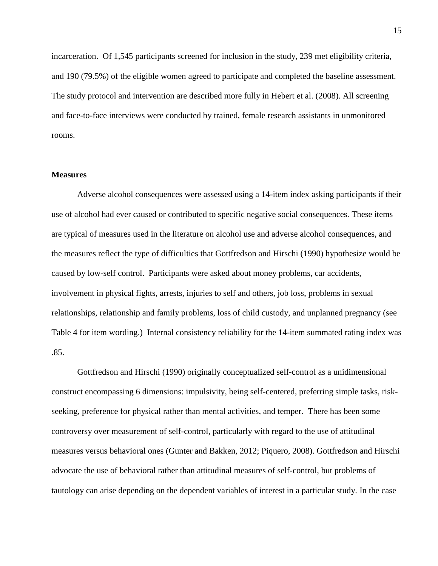incarceration. Of 1,545 participants screened for inclusion in the study, 239 met eligibility criteria, and 190 (79.5%) of the eligible women agreed to participate and completed the baseline assessment. The study protocol and intervention are described more fully in Hebert et al. (2008). All screening and face-to-face interviews were conducted by trained, female research assistants in unmonitored rooms.

#### **Measures**

Adverse alcohol consequences were assessed using a 14-item index asking participants if their use of alcohol had ever caused or contributed to specific negative social consequences. These items are typical of measures used in the literature on alcohol use and adverse alcohol consequences, and the measures reflect the type of difficulties that Gottfredson and Hirschi (1990) hypothesize would be caused by low-self control. Participants were asked about money problems, car accidents, involvement in physical fights, arrests, injuries to self and others, job loss, problems in sexual relationships, relationship and family problems, loss of child custody, and unplanned pregnancy (see Table 4 for item wording.) Internal consistency reliability for the 14-item summated rating index was .85.

Gottfredson and Hirschi (1990) originally conceptualized self-control as a unidimensional construct encompassing 6 dimensions: impulsivity, being self-centered, preferring simple tasks, riskseeking, preference for physical rather than mental activities, and temper. There has been some controversy over measurement of self-control, particularly with regard to the use of attitudinal measures versus behavioral ones (Gunter and Bakken, 2012; Piquero, 2008). Gottfredson and Hirschi advocate the use of behavioral rather than attitudinal measures of self-control, but problems of tautology can arise depending on the dependent variables of interest in a particular study. In the case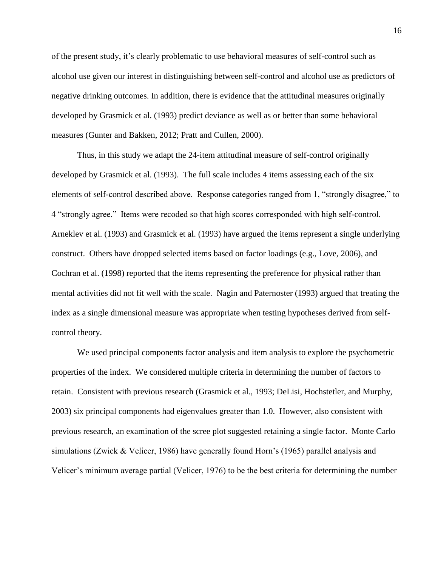of the present study, it's clearly problematic to use behavioral measures of self-control such as alcohol use given our interest in distinguishing between self-control and alcohol use as predictors of negative drinking outcomes. In addition, there is evidence that the attitudinal measures originally developed by Grasmick et al. (1993) predict deviance as well as or better than some behavioral measures (Gunter and Bakken, 2012; Pratt and Cullen, 2000).

Thus, in this study we adapt the 24-item attitudinal measure of self-control originally developed by Grasmick et al. (1993). The full scale includes 4 items assessing each of the six elements of self-control described above. Response categories ranged from 1, "strongly disagree," to 4 "strongly agree." Items were recoded so that high scores corresponded with high self-control. Arneklev et al. (1993) and Grasmick et al. (1993) have argued the items represent a single underlying construct. Others have dropped selected items based on factor loadings (e.g., Love, 2006), and Cochran et al. (1998) reported that the items representing the preference for physical rather than mental activities did not fit well with the scale. Nagin and Paternoster (1993) argued that treating the index as a single dimensional measure was appropriate when testing hypotheses derived from selfcontrol theory.

We used principal components factor analysis and item analysis to explore the psychometric properties of the index. We considered multiple criteria in determining the number of factors to retain. Consistent with previous research (Grasmick et al., 1993; DeLisi, Hochstetler, and Murphy, 2003) six principal components had eigenvalues greater than 1.0. However, also consistent with previous research, an examination of the scree plot suggested retaining a single factor. Monte Carlo simulations (Zwick & Velicer, 1986) have generally found Horn's (1965) parallel analysis and Velicer's minimum average partial (Velicer, 1976) to be the best criteria for determining the number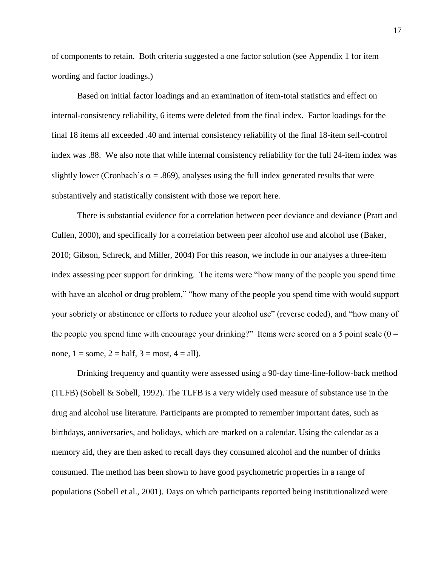of components to retain. Both criteria suggested a one factor solution (see Appendix 1 for item wording and factor loadings.)

Based on initial factor loadings and an examination of item-total statistics and effect on internal-consistency reliability, 6 items were deleted from the final index. Factor loadings for the final 18 items all exceeded .40 and internal consistency reliability of the final 18-item self-control index was .88. We also note that while internal consistency reliability for the full 24-item index was slightly lower (Cronbach's  $\alpha$  = .869), analyses using the full index generated results that were substantively and statistically consistent with those we report here.

There is substantial evidence for a correlation between peer deviance and deviance (Pratt and Cullen, 2000), and specifically for a correlation between peer alcohol use and alcohol use (Baker, 2010; Gibson, Schreck, and Miller, 2004) For this reason, we include in our analyses a three-item index assessing peer support for drinking. The items were "how many of the people you spend time with have an alcohol or drug problem," "how many of the people you spend time with would support your sobriety or abstinence or efforts to reduce your alcohol use" (reverse coded), and "how many of the people you spend time with encourage your drinking?" Items were scored on a 5 point scale  $(0 =$ none,  $1 =$ some,  $2 =$ half,  $3 =$ most,  $4 =$ all).

Drinking frequency and quantity were assessed using a 90-day time-line-follow-back method (TLFB) (Sobell & Sobell, 1992). The TLFB is a very widely used measure of substance use in the drug and alcohol use literature. Participants are prompted to remember important dates, such as birthdays, anniversaries, and holidays, which are marked on a calendar. Using the calendar as a memory aid, they are then asked to recall days they consumed alcohol and the number of drinks consumed. The method has been shown to have good psychometric properties in a range of populations (Sobell et al., 2001). Days on which participants reported being institutionalized were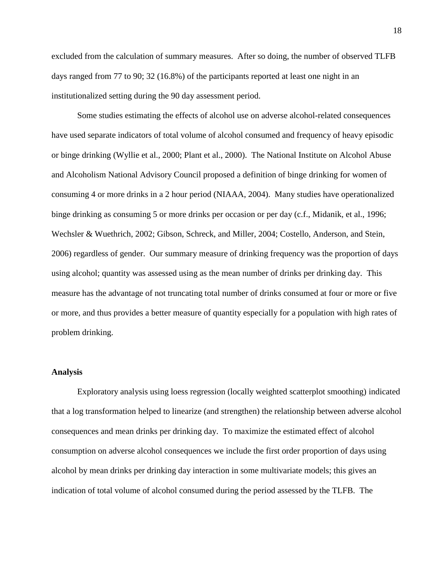excluded from the calculation of summary measures. After so doing, the number of observed TLFB days ranged from 77 to 90; 32 (16.8%) of the participants reported at least one night in an institutionalized setting during the 90 day assessment period.

Some studies estimating the effects of alcohol use on adverse alcohol-related consequences have used separate indicators of total volume of alcohol consumed and frequency of heavy episodic or binge drinking (Wyllie et al., 2000; Plant et al., 2000). The National Institute on Alcohol Abuse and Alcoholism National Advisory Council proposed a definition of binge drinking for women of consuming 4 or more drinks in a 2 hour period (NIAAA, 2004). Many studies have operationalized binge drinking as consuming 5 or more drinks per occasion or per day (c.f., Midanik, et al., 1996; Wechsler & Wuethrich, 2002; Gibson, Schreck, and Miller, 2004; Costello, Anderson, and Stein, 2006) regardless of gender. Our summary measure of drinking frequency was the proportion of days using alcohol; quantity was assessed using as the mean number of drinks per drinking day. This measure has the advantage of not truncating total number of drinks consumed at four or more or five or more, and thus provides a better measure of quantity especially for a population with high rates of problem drinking.

#### **Analysis**

Exploratory analysis using loess regression (locally weighted scatterplot smoothing) indicated that a log transformation helped to linearize (and strengthen) the relationship between adverse alcohol consequences and mean drinks per drinking day. To maximize the estimated effect of alcohol consumption on adverse alcohol consequences we include the first order proportion of days using alcohol by mean drinks per drinking day interaction in some multivariate models; this gives an indication of total volume of alcohol consumed during the period assessed by the TLFB. The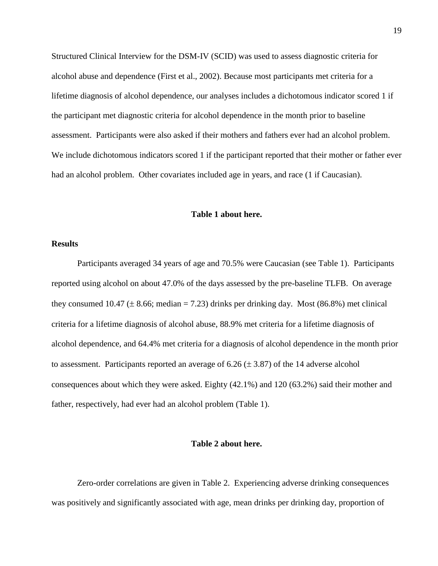Structured Clinical Interview for the DSM-IV (SCID) was used to assess diagnostic criteria for alcohol abuse and dependence (First et al., 2002). Because most participants met criteria for a lifetime diagnosis of alcohol dependence, our analyses includes a dichotomous indicator scored 1 if the participant met diagnostic criteria for alcohol dependence in the month prior to baseline assessment. Participants were also asked if their mothers and fathers ever had an alcohol problem. We include dichotomous indicators scored 1 if the participant reported that their mother or father ever had an alcohol problem. Other covariates included age in years, and race (1 if Caucasian).

#### **Table 1 about here.**

#### **Results**

Participants averaged 34 years of age and 70.5% were Caucasian (see Table 1). Participants reported using alcohol on about 47.0% of the days assessed by the pre-baseline TLFB. On average they consumed 10.47 ( $\pm$  8.66; median = 7.23) drinks per drinking day. Most (86.8%) met clinical criteria for a lifetime diagnosis of alcohol abuse, 88.9% met criteria for a lifetime diagnosis of alcohol dependence, and 64.4% met criteria for a diagnosis of alcohol dependence in the month prior to assessment. Participants reported an average of  $6.26 \ (\pm 3.87)$  of the 14 adverse alcohol consequences about which they were asked. Eighty (42.1%) and 120 (63.2%) said their mother and father, respectively, had ever had an alcohol problem (Table 1).

#### **Table 2 about here.**

Zero-order correlations are given in Table 2. Experiencing adverse drinking consequences was positively and significantly associated with age, mean drinks per drinking day, proportion of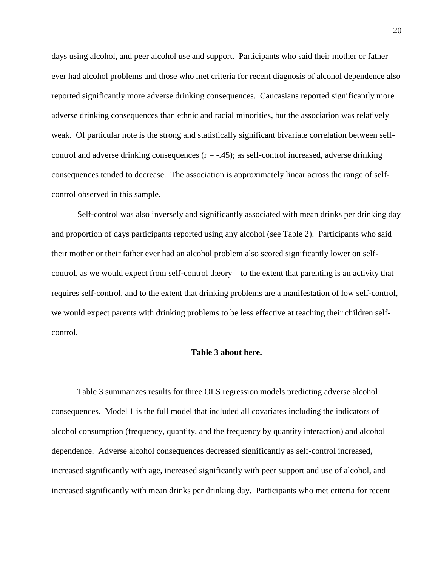days using alcohol, and peer alcohol use and support. Participants who said their mother or father ever had alcohol problems and those who met criteria for recent diagnosis of alcohol dependence also reported significantly more adverse drinking consequences. Caucasians reported significantly more adverse drinking consequences than ethnic and racial minorities, but the association was relatively weak. Of particular note is the strong and statistically significant bivariate correlation between selfcontrol and adverse drinking consequences  $(r = -.45)$ ; as self-control increased, adverse drinking consequences tended to decrease. The association is approximately linear across the range of selfcontrol observed in this sample.

Self-control was also inversely and significantly associated with mean drinks per drinking day and proportion of days participants reported using any alcohol (see Table 2). Participants who said their mother or their father ever had an alcohol problem also scored significantly lower on selfcontrol, as we would expect from self-control theory – to the extent that parenting is an activity that requires self-control, and to the extent that drinking problems are a manifestation of low self-control, we would expect parents with drinking problems to be less effective at teaching their children selfcontrol.

#### **Table 3 about here.**

Table 3 summarizes results for three OLS regression models predicting adverse alcohol consequences. Model 1 is the full model that included all covariates including the indicators of alcohol consumption (frequency, quantity, and the frequency by quantity interaction) and alcohol dependence. Adverse alcohol consequences decreased significantly as self-control increased, increased significantly with age, increased significantly with peer support and use of alcohol, and increased significantly with mean drinks per drinking day. Participants who met criteria for recent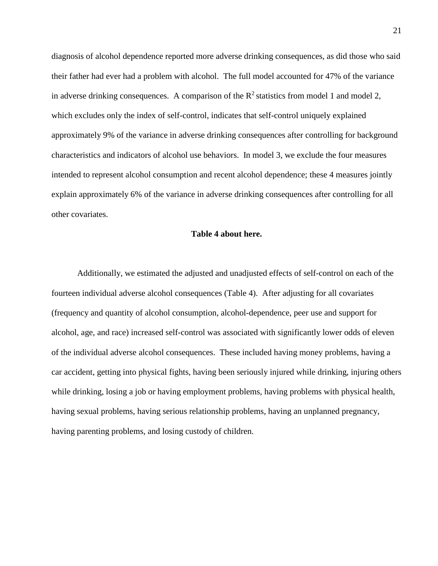diagnosis of alcohol dependence reported more adverse drinking consequences, as did those who said their father had ever had a problem with alcohol. The full model accounted for 47% of the variance in adverse drinking consequences. A comparison of the  $\mathbb{R}^2$  statistics from model 1 and model 2, which excludes only the index of self-control, indicates that self-control uniquely explained approximately 9% of the variance in adverse drinking consequences after controlling for background characteristics and indicators of alcohol use behaviors. In model 3, we exclude the four measures intended to represent alcohol consumption and recent alcohol dependence; these 4 measures jointly explain approximately 6% of the variance in adverse drinking consequences after controlling for all other covariates.

#### **Table 4 about here.**

Additionally, we estimated the adjusted and unadjusted effects of self-control on each of the fourteen individual adverse alcohol consequences (Table 4). After adjusting for all covariates (frequency and quantity of alcohol consumption, alcohol-dependence, peer use and support for alcohol, age, and race) increased self-control was associated with significantly lower odds of eleven of the individual adverse alcohol consequences. These included having money problems, having a car accident, getting into physical fights, having been seriously injured while drinking, injuring others while drinking, losing a job or having employment problems, having problems with physical health, having sexual problems, having serious relationship problems, having an unplanned pregnancy, having parenting problems, and losing custody of children.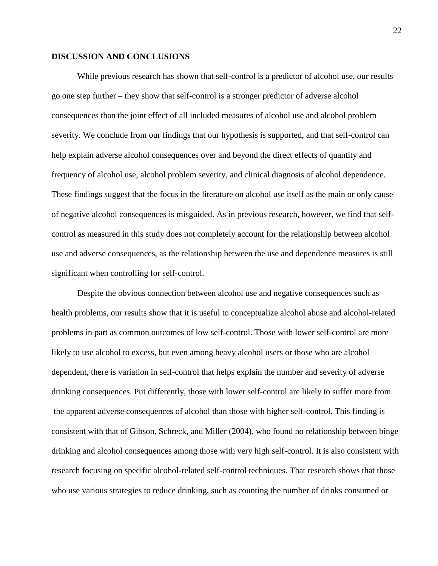#### **DISCUSSION AND CONCLUSIONS**

While previous research has shown that self-control is a predictor of alcohol use, our results go one step further – they show that self-control is a stronger predictor of adverse alcohol consequences than the joint effect of all included measures of alcohol use and alcohol problem severity. We conclude from our findings that our hypothesis is supported, and that self-control can help explain adverse alcohol consequences over and beyond the direct effects of quantity and frequency of alcohol use, alcohol problem severity, and clinical diagnosis of alcohol dependence. These findings suggest that the focus in the literature on alcohol use itself as the main or only cause of negative alcohol consequences is misguided. As in previous research, however, we find that selfcontrol as measured in this study does not completely account for the relationship between alcohol use and adverse consequences, as the relationship between the use and dependence measures is still significant when controlling for self-control.

Despite the obvious connection between alcohol use and negative consequences such as health problems, our results show that it is useful to conceptualize alcohol abuse and alcohol-related problems in part as common outcomes of low self-control. Those with lower self-control are more likely to use alcohol to excess, but even among heavy alcohol users or those who are alcohol dependent, there is variation in self-control that helps explain the number and severity of adverse drinking consequences. Put differently, those with lower self-control are likely to suffer more from the apparent adverse consequences of alcohol than those with higher self-control. This finding is consistent with that of Gibson, Schreck, and Miller (2004), who found no relationship between binge drinking and alcohol consequences among those with very high self-control. It is also consistent with research focusing on specific alcohol-related self-control techniques. That research shows that those who use various strategies to reduce drinking, such as counting the number of drinks consumed or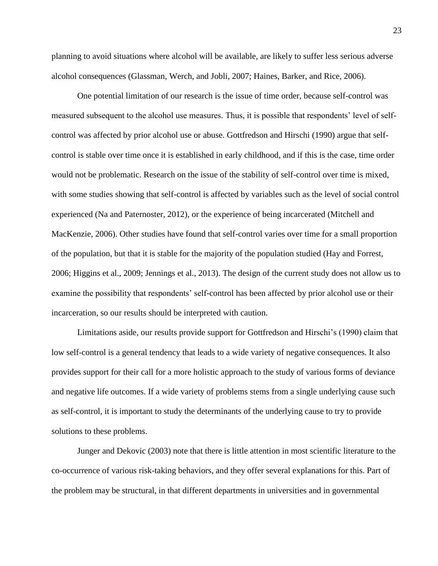planning to avoid situations where alcohol will be available, are likely to suffer less serious adverse alcohol consequences (Glassman, Werch, and Jobli, 2007; Haines, Barker, and Rice, 2006).

One potential limitation of our research is the issue of time order, because self-control was measured subsequent to the alcohol use measures. Thus, it is possible that respondents' level of selfcontrol was affected by prior alcohol use or abuse. Gottfredson and Hirschi (1990) argue that selfcontrol is stable over time once it is established in early childhood, and if this is the case, time order would not be problematic. Research on the issue of the stability of self-control over time is mixed, with some studies showing that self-control is affected by variables such as the level of social control experienced (Na and Paternoster, 2012), or the experience of being incarcerated (Mitchell and MacKenzie, 2006). Other studies have found that self-control varies over time for a small proportion of the population, but that it is stable for the majority of the population studied (Hay and Forrest, 2006; Higgins et al., 2009; Jennings et al., 2013). The design of the current study does not allow us to examine the possibility that respondents' self-control has been affected by prior alcohol use or their incarceration, so our results should be interpreted with caution.

Limitations aside, our results provide support for Gottfredson and Hirschi's (1990) claim that low self-control is a general tendency that leads to a wide variety of negative consequences. It also provides support for their call for a more holistic approach to the study of various forms of deviance and negative life outcomes. If a wide variety of problems stems from a single underlying cause such as self-control, it is important to study the determinants of the underlying cause to try to provide solutions to these problems.

Junger and Dekovic (2003) note that there is little attention in most scientific literature to the co-occurrence of various risk-taking behaviors, and they offer several explanations for this. Part of the problem may be structural, in that different departments in universities and in governmental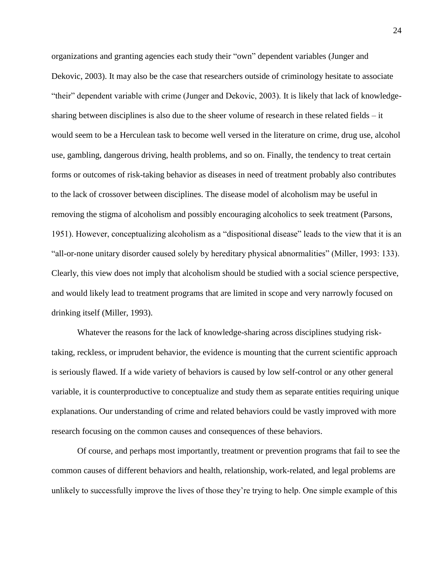organizations and granting agencies each study their "own" dependent variables (Junger and Dekovic, 2003). It may also be the case that researchers outside of criminology hesitate to associate "their" dependent variable with crime (Junger and Dekovic, 2003). It is likely that lack of knowledgesharing between disciplines is also due to the sheer volume of research in these related fields – it would seem to be a Herculean task to become well versed in the literature on crime, drug use, alcohol use, gambling, dangerous driving, health problems, and so on. Finally, the tendency to treat certain forms or outcomes of risk-taking behavior as diseases in need of treatment probably also contributes to the lack of crossover between disciplines. The disease model of alcoholism may be useful in removing the stigma of alcoholism and possibly encouraging alcoholics to seek treatment (Parsons, 1951). However, conceptualizing alcoholism as a "dispositional disease" leads to the view that it is an "all-or-none unitary disorder caused solely by hereditary physical abnormalities" (Miller, 1993: 133). Clearly, this view does not imply that alcoholism should be studied with a social science perspective, and would likely lead to treatment programs that are limited in scope and very narrowly focused on drinking itself (Miller, 1993).

Whatever the reasons for the lack of knowledge-sharing across disciplines studying risktaking, reckless, or imprudent behavior, the evidence is mounting that the current scientific approach is seriously flawed. If a wide variety of behaviors is caused by low self-control or any other general variable, it is counterproductive to conceptualize and study them as separate entities requiring unique explanations. Our understanding of crime and related behaviors could be vastly improved with more research focusing on the common causes and consequences of these behaviors.

Of course, and perhaps most importantly, treatment or prevention programs that fail to see the common causes of different behaviors and health, relationship, work-related, and legal problems are unlikely to successfully improve the lives of those they're trying to help. One simple example of this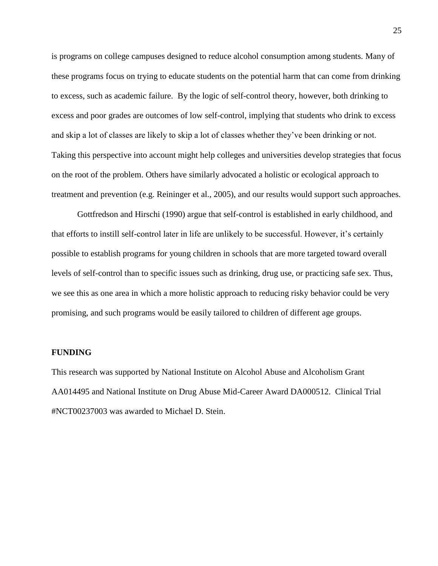is programs on college campuses designed to reduce alcohol consumption among students. Many of these programs focus on trying to educate students on the potential harm that can come from drinking to excess, such as academic failure. By the logic of self-control theory, however, both drinking to excess and poor grades are outcomes of low self-control, implying that students who drink to excess and skip a lot of classes are likely to skip a lot of classes whether they've been drinking or not. Taking this perspective into account might help colleges and universities develop strategies that focus on the root of the problem. Others have similarly advocated a holistic or ecological approach to treatment and prevention (e.g. Reininger et al., 2005), and our results would support such approaches.

Gottfredson and Hirschi (1990) argue that self-control is established in early childhood, and that efforts to instill self-control later in life are unlikely to be successful. However, it's certainly possible to establish programs for young children in schools that are more targeted toward overall levels of self-control than to specific issues such as drinking, drug use, or practicing safe sex. Thus, we see this as one area in which a more holistic approach to reducing risky behavior could be very promising, and such programs would be easily tailored to children of different age groups.

#### **FUNDING**

This research was supported by National Institute on Alcohol Abuse and Alcoholism Grant AA014495 and National Institute on Drug Abuse Mid-Career Award DA000512. Clinical Trial #NCT00237003 was awarded to Michael D. Stein.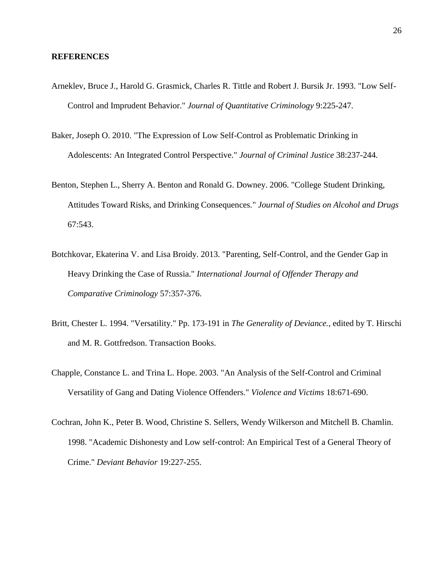#### **REFERENCES**

- Arneklev, Bruce J., Harold G. Grasmick, Charles R. Tittle and Robert J. Bursik Jr. 1993. "Low Self-Control and Imprudent Behavior." *Journal of Quantitative Criminology* 9:225-247.
- Baker, Joseph O. 2010. "The Expression of Low Self-Control as Problematic Drinking in Adolescents: An Integrated Control Perspective." *Journal of Criminal Justice* 38:237-244.
- Benton, Stephen L., Sherry A. Benton and Ronald G. Downey. 2006. "College Student Drinking, Attitudes Toward Risks, and Drinking Consequences." *Journal of Studies on Alcohol and Drugs* 67:543.
- Botchkovar, Ekaterina V. and Lisa Broidy. 2013. "Parenting, Self-Control, and the Gender Gap in Heavy Drinking the Case of Russia." *International Journal of Offender Therapy and Comparative Criminology* 57:357-376.
- Britt, Chester L. 1994. "Versatility." Pp. 173-191 in *The Generality of Deviance.*, edited by T. Hirschi and M. R. Gottfredson. Transaction Books.
- Chapple, Constance L. and Trina L. Hope. 2003. "An Analysis of the Self-Control and Criminal Versatility of Gang and Dating Violence Offenders." *Violence and Victims* 18:671-690.
- Cochran, John K., Peter B. Wood, Christine S. Sellers, Wendy Wilkerson and Mitchell B. Chamlin. 1998. "Academic Dishonesty and Low self‐control: An Empirical Test of a General Theory of Crime." *Deviant Behavior* 19:227-255.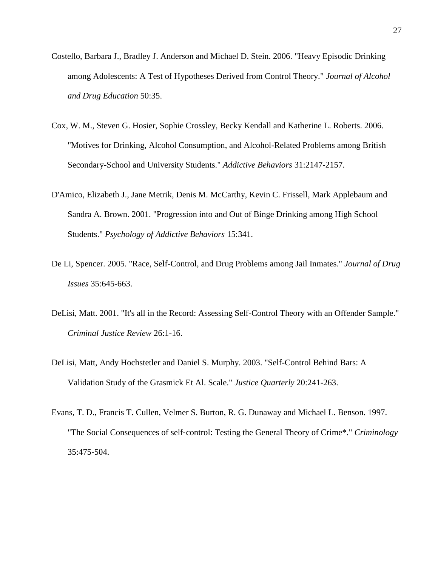- Costello, Barbara J., Bradley J. Anderson and Michael D. Stein. 2006. "Heavy Episodic Drinking among Adolescents: A Test of Hypotheses Derived from Control Theory." *Journal of Alcohol and Drug Education* 50:35.
- Cox, W. M., Steven G. Hosier, Sophie Crossley, Becky Kendall and Katherine L. Roberts. 2006. "Motives for Drinking, Alcohol Consumption, and Alcohol-Related Problems among British Secondary-School and University Students." *Addictive Behaviors* 31:2147-2157.
- D'Amico, Elizabeth J., Jane Metrik, Denis M. McCarthy, Kevin C. Frissell, Mark Applebaum and Sandra A. Brown. 2001. "Progression into and Out of Binge Drinking among High School Students." *Psychology of Addictive Behaviors* 15:341.
- De Li, Spencer. 2005. "Race, Self-Control, and Drug Problems among Jail Inmates." *Journal of Drug Issues* 35:645-663.
- DeLisi, Matt. 2001. "It's all in the Record: Assessing Self-Control Theory with an Offender Sample." *Criminal Justice Review* 26:1-16.
- DeLisi, Matt, Andy Hochstetler and Daniel S. Murphy. 2003. "Self-Control Behind Bars: A Validation Study of the Grasmick Et Al. Scale." *Justice Quarterly* 20:241-263.
- Evans, T. D., Francis T. Cullen, Velmer S. Burton, R. G. Dunaway and Michael L. Benson. 1997. "The Social Consequences of self‐control: Testing the General Theory of Crime\*." *Criminology* 35:475-504.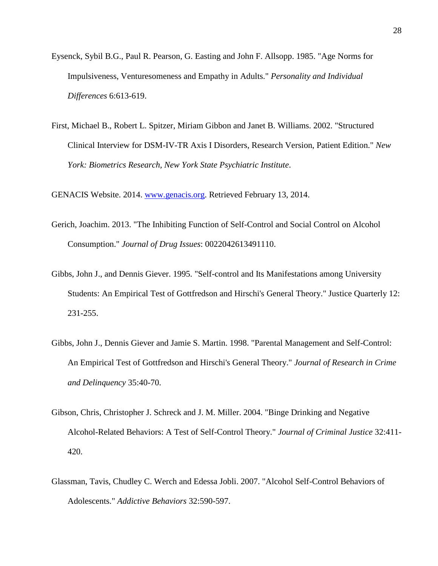- Eysenck, Sybil B.G., Paul R. Pearson, G. Easting and John F. Allsopp. 1985. "Age Norms for Impulsiveness, Venturesomeness and Empathy in Adults." *Personality and Individual Differences* 6:613-619.
- First, Michael B., Robert L. Spitzer, Miriam Gibbon and Janet B. Williams. 2002. "Structured Clinical Interview for DSM-IV-TR Axis I Disorders, Research Version, Patient Edition." *New York: Biometrics Research, New York State Psychiatric Institute*.

GENACIS Website. 2014. [www.genacis.org.](http://www.genacis.org/) Retrieved February 13, 2014.

- Gerich, Joachim. 2013. "The Inhibiting Function of Self-Control and Social Control on Alcohol Consumption." *Journal of Drug Issues*: 0022042613491110.
- Gibbs, John J., and Dennis Giever. 1995. "Self-control and Its Manifestations among University Students: An Empirical Test of Gottfredson and Hirschi's General Theory." Justice Quarterly 12: 231-255.
- Gibbs, John J., Dennis Giever and Jamie S. Martin. 1998. "Parental Management and Self-Control: An Empirical Test of Gottfredson and Hirschi's General Theory." *Journal of Research in Crime and Delinquency* 35:40-70.
- Gibson, Chris, Christopher J. Schreck and J. M. Miller. 2004. "Binge Drinking and Negative Alcohol-Related Behaviors: A Test of Self-Control Theory." *Journal of Criminal Justice* 32:411- 420.
- Glassman, Tavis, Chudley C. Werch and Edessa Jobli. 2007. "Alcohol Self-Control Behaviors of Adolescents." *Addictive Behaviors* 32:590-597.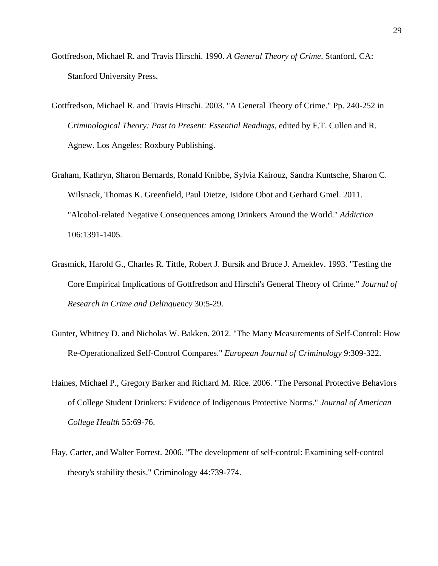- Gottfredson, Michael R. and Travis Hirschi. 1990. *A General Theory of Crime*. Stanford, CA: Stanford University Press.
- Gottfredson, Michael R. and Travis Hirschi. 2003. "A General Theory of Crime." Pp. 240-252 in *Criminological Theory: Past to Present: Essential Readings,* edited by F.T. Cullen and R. Agnew. Los Angeles: Roxbury Publishing.
- Graham, Kathryn, Sharon Bernards, Ronald Knibbe, Sylvia Kairouz, Sandra Kuntsche, Sharon C. Wilsnack, Thomas K. Greenfield, Paul Dietze, Isidore Obot and Gerhard Gmel. 2011. "Alcohol‐related Negative Consequences among Drinkers Around the World." *Addiction* 106:1391-1405.
- Grasmick, Harold G., Charles R. Tittle, Robert J. Bursik and Bruce J. Arneklev. 1993. "Testing the Core Empirical Implications of Gottfredson and Hirschi's General Theory of Crime." *Journal of Research in Crime and Delinquency* 30:5-29.
- Gunter, Whitney D. and Nicholas W. Bakken. 2012. "The Many Measurements of Self-Control: How Re-Operationalized Self-Control Compares." *European Journal of Criminology* 9:309-322.
- Haines, Michael P., Gregory Barker and Richard M. Rice. 2006. "The Personal Protective Behaviors of College Student Drinkers: Evidence of Indigenous Protective Norms." *Journal of American College Health* 55:69-76.
- Hay, Carter, and Walter Forrest. 2006. "The development of self‐control: Examining self‐control theory's stability thesis." Criminology 44:739-774.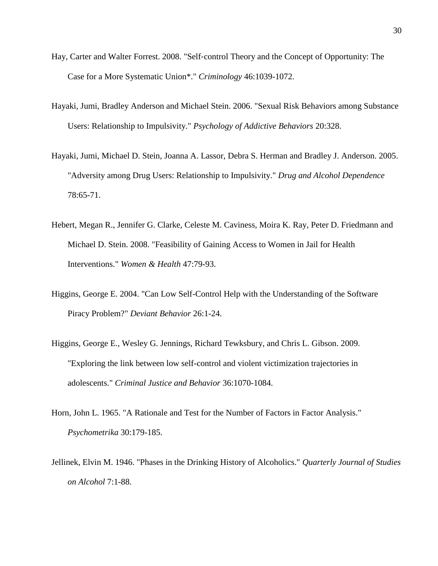- Hay, Carter and Walter Forrest. 2008. "Self‐control Theory and the Concept of Opportunity: The Case for a More Systematic Union\*." *Criminology* 46:1039-1072.
- Hayaki, Jumi, Bradley Anderson and Michael Stein. 2006. "Sexual Risk Behaviors among Substance Users: Relationship to Impulsivity." *Psychology of Addictive Behaviors* 20:328.
- Hayaki, Jumi, Michael D. Stein, Joanna A. Lassor, Debra S. Herman and Bradley J. Anderson. 2005. "Adversity among Drug Users: Relationship to Impulsivity." *Drug and Alcohol Dependence* 78:65-71.
- Hebert, Megan R., Jennifer G. Clarke, Celeste M. Caviness, Moira K. Ray, Peter D. Friedmann and Michael D. Stein. 2008. "Feasibility of Gaining Access to Women in Jail for Health Interventions." *Women & Health* 47:79-93.
- Higgins, George E. 2004. "Can Low Self-Control Help with the Understanding of the Software Piracy Problem?" *Deviant Behavior* 26:1-24.
- Higgins, George E., Wesley G. Jennings, Richard Tewksbury, and Chris L. Gibson. 2009. "Exploring the link between low self-control and violent victimization trajectories in adolescents." *Criminal Justice and Behavior* 36:1070-1084.
- Horn, John L. 1965. "A Rationale and Test for the Number of Factors in Factor Analysis." *Psychometrika* 30:179-185.
- Jellinek, Elvin M. 1946. "Phases in the Drinking History of Alcoholics." *Quarterly Journal of Studies on Alcohol* 7:1-88.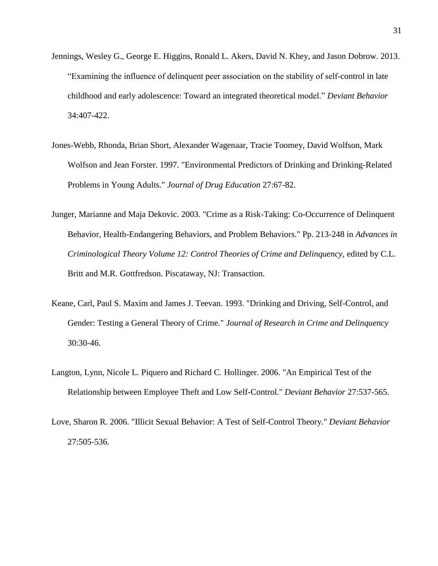- Jennings, Wesley G., George E. Higgins, Ronald L. Akers, David N. Khey, and Jason Dobrow. 2013. "Examining the influence of delinquent peer association on the stability of self-control in late childhood and early adolescence: Toward an integrated theoretical model." *Deviant Behavior* 34:407-422.
- Jones-Webb, Rhonda, Brian Short, Alexander Wagenaar, Tracie Toomey, David Wolfson, Mark Wolfson and Jean Forster. 1997. "Environmental Predictors of Drinking and Drinking-Related Problems in Young Adults." *Journal of Drug Education* 27:67-82.
- Junger, Marianne and Maja Dekovic. 2003. "Crime as a Risk-Taking: Co-Occurrence of Delinquent Behavior, Health-Endangering Behaviors, and Problem Behaviors." Pp. 213-248 in *Advances in Criminological Theory Volume 12: Control Theories of Crime and Delinquency*, edited by C.L. Britt and M.R. Gottfredson. Piscataway, NJ: Transaction.
- Keane, Carl, Paul S. Maxim and James J. Teevan. 1993. "Drinking and Driving, Self-Control, and Gender: Testing a General Theory of Crime." *Journal of Research in Crime and Delinquency* 30:30-46.
- Langton, Lynn, Nicole L. Piquero and Richard C. Hollinger. 2006. "An Empirical Test of the Relationship between Employee Theft and Low Self-Control." *Deviant Behavior* 27:537-565.
- Love, Sharon R. 2006. "Illicit Sexual Behavior: A Test of Self-Control Theory." *Deviant Behavior* 27:505-536.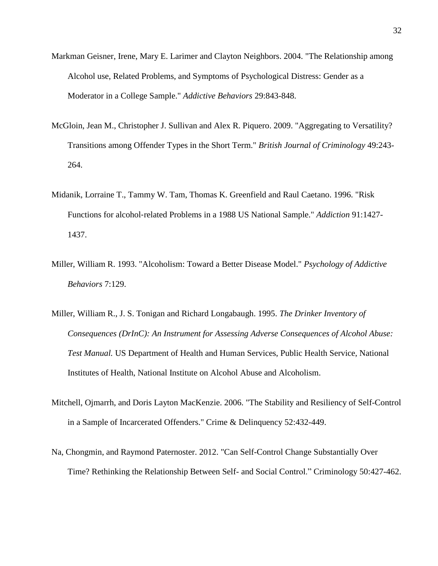- Markman Geisner, Irene, Mary E. Larimer and Clayton Neighbors. 2004. "The Relationship among Alcohol use, Related Problems, and Symptoms of Psychological Distress: Gender as a Moderator in a College Sample." *Addictive Behaviors* 29:843-848.
- McGloin, Jean M., Christopher J. Sullivan and Alex R. Piquero. 2009. "Aggregating to Versatility? Transitions among Offender Types in the Short Term." *British Journal of Criminology* 49:243- 264.
- Midanik, Lorraine T., Tammy W. Tam, Thomas K. Greenfield and Raul Caetano. 1996. "Risk Functions for alcohol‐related Problems in a 1988 US National Sample." *Addiction* 91:1427- 1437.
- Miller, William R. 1993. "Alcoholism: Toward a Better Disease Model." *Psychology of Addictive Behaviors* 7:129.
- Miller, William R., J. S. Tonigan and Richard Longabaugh. 1995. *The Drinker Inventory of Consequences (DrInC): An Instrument for Assessing Adverse Consequences of Alcohol Abuse: Test Manual.* US Department of Health and Human Services, Public Health Service, National Institutes of Health, National Institute on Alcohol Abuse and Alcoholism.
- Mitchell, Ojmarrh, and Doris Layton MacKenzie. 2006. "The Stability and Resiliency of Self-Control in a Sample of Incarcerated Offenders." Crime & Delinquency 52:432-449.
- Na, Chongmin, and Raymond Paternoster. 2012. "Can Self-Control Change Substantially Over Time? Rethinking the Relationship Between Self- and Social Control." Criminology 50:427-462.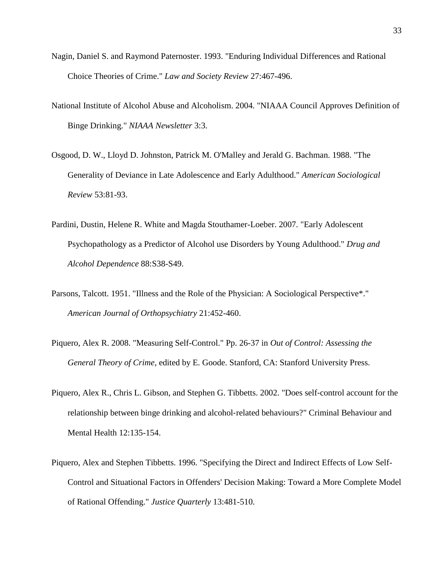- Nagin, Daniel S. and Raymond Paternoster. 1993. "Enduring Individual Differences and Rational Choice Theories of Crime." *Law and Society Review* 27:467-496.
- National Institute of Alcohol Abuse and Alcoholism. 2004. "NIAAA Council Approves Definition of Binge Drinking." *NIAAA Newsletter* 3:3.
- Osgood, D. W., Lloyd D. Johnston, Patrick M. O'Malley and Jerald G. Bachman. 1988. "The Generality of Deviance in Late Adolescence and Early Adulthood." *American Sociological Review* 53:81-93.
- Pardini, Dustin, Helene R. White and Magda Stouthamer-Loeber. 2007. "Early Adolescent Psychopathology as a Predictor of Alcohol use Disorders by Young Adulthood." *Drug and Alcohol Dependence* 88:S38-S49.
- Parsons, Talcott. 1951. "Illness and the Role of the Physician: A Sociological Perspective\*." *American Journal of Orthopsychiatry* 21:452-460.
- Piquero, Alex R. 2008. "Measuring Self-Control." Pp. 26-37 in *Out of Control: Assessing the General Theory of Crime*, edited by E. Goode. Stanford, CA: Stanford University Press.
- Piquero, Alex R., Chris L. Gibson, and Stephen G. Tibbetts. 2002. "Does self‐control account for the relationship between binge drinking and alcohol‐related behaviours?" Criminal Behaviour and Mental Health 12:135-154.
- Piquero, Alex and Stephen Tibbetts. 1996. "Specifying the Direct and Indirect Effects of Low Self-Control and Situational Factors in Offenders' Decision Making: Toward a More Complete Model of Rational Offending." *Justice Quarterly* 13:481-510.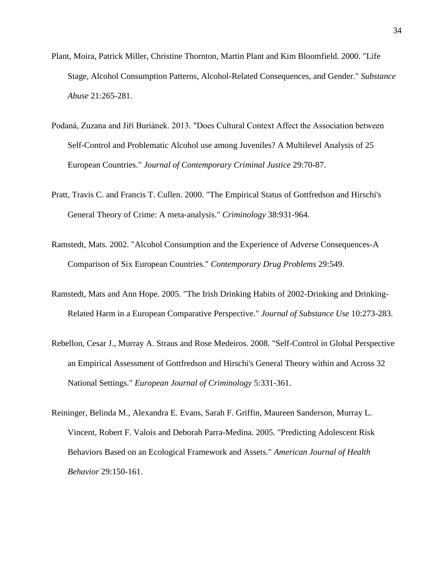- Plant, Moira, Patrick Miller, Christine Thornton, Martin Plant and Kim Bloomfield. 2000. "Life Stage, Alcohol Consumption Patterns, Alcohol-Related Consequences, and Gender." *Substance Abuse* 21:265-281.
- Podaná, Zuzana and Jiří Buriánek. 2013. "Does Cultural Context Affect the Association between Self-Control and Problematic Alcohol use among Juveniles? A Multilevel Analysis of 25 European Countries." *Journal of Contemporary Criminal Justice* 29:70-87.
- Pratt, Travis C. and Francis T. Cullen. 2000. "The Empirical Status of Gottfredson and Hirschi's General Theory of Crime: A meta‐analysis." *Criminology* 38:931-964.
- Ramstedt, Mats. 2002. "Alcohol Consumption and the Experience of Adverse Consequences-A Comparison of Six European Countries." *Contemporary Drug Problems* 29:549.
- Ramstedt, Mats and Ann Hope. 2005. "The Irish Drinking Habits of 2002-Drinking and Drinking-Related Harm in a European Comparative Perspective." *Journal of Substance Use* 10:273-283.
- Rebellon, Cesar J., Murray A. Straus and Rose Medeiros. 2008. "Self-Control in Global Perspective an Empirical Assessment of Gottfredson and Hirschi's General Theory within and Across 32 National Settings." *European Journal of Criminology* 5:331-361.
- Reininger, Belinda M., Alexandra E. Evans, Sarah F. Griffin, Maureen Sanderson, Murray L. Vincent, Robert F. Valois and Deborah Parra-Medina. 2005. "Predicting Adolescent Risk Behaviors Based on an Ecological Framework and Assets." *American Journal of Health Behavior* 29:150-161.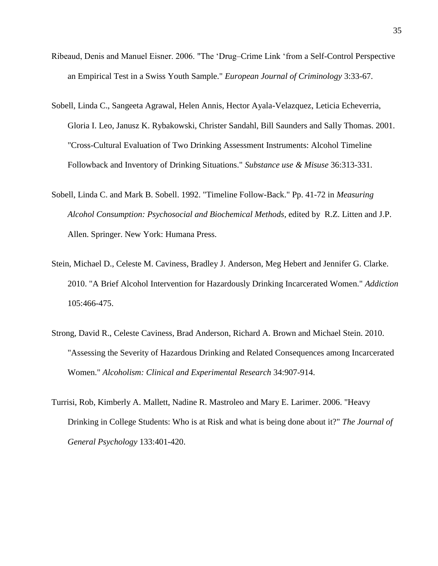- Ribeaud, Denis and Manuel Eisner. 2006. "The 'Drug–Crime Link 'from a Self-Control Perspective an Empirical Test in a Swiss Youth Sample." *European Journal of Criminology* 3:33-67.
- Sobell, Linda C., Sangeeta Agrawal, Helen Annis, Hector Ayala-Velazquez, Leticia Echeverria, Gloria I. Leo, Janusz K. Rybakowski, Christer Sandahl, Bill Saunders and Sally Thomas. 2001. "Cross-Cultural Evaluation of Two Drinking Assessment Instruments: Alcohol Timeline Followback and Inventory of Drinking Situations." *Substance use & Misuse* 36:313-331.
- Sobell, Linda C. and Mark B. Sobell. 1992. "Timeline Follow-Back." Pp. 41-72 in *Measuring Alcohol Consumption: Psychosocial and Biochemical Methods*, edited by R.Z. Litten and J.P. Allen. Springer. New York: Humana Press.
- Stein, Michael D., Celeste M. Caviness, Bradley J. Anderson, Meg Hebert and Jennifer G. Clarke. 2010. "A Brief Alcohol Intervention for Hazardously Drinking Incarcerated Women." *Addiction* 105:466-475.
- Strong, David R., Celeste Caviness, Brad Anderson, Richard A. Brown and Michael Stein. 2010. "Assessing the Severity of Hazardous Drinking and Related Consequences among Incarcerated Women." *Alcoholism: Clinical and Experimental Research* 34:907-914.
- Turrisi, Rob, Kimberly A. Mallett, Nadine R. Mastroleo and Mary E. Larimer. 2006. "Heavy Drinking in College Students: Who is at Risk and what is being done about it?" *The Journal of General Psychology* 133:401-420.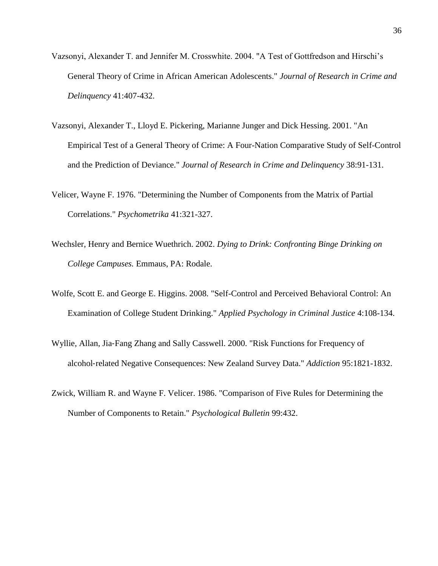- Vazsonyi, Alexander T. and Jennifer M. Crosswhite. 2004. "A Test of Gottfredson and Hirschi's General Theory of Crime in African American Adolescents." *Journal of Research in Crime and Delinquency* 41:407-432.
- Vazsonyi, Alexander T., Lloyd E. Pickering, Marianne Junger and Dick Hessing. 2001. "An Empirical Test of a General Theory of Crime: A Four-Nation Comparative Study of Self-Control and the Prediction of Deviance." *Journal of Research in Crime and Delinquency* 38:91-131.
- Velicer, Wayne F. 1976. "Determining the Number of Components from the Matrix of Partial Correlations." *Psychometrika* 41:321-327.
- Wechsler, Henry and Bernice Wuethrich. 2002. *Dying to Drink: Confronting Binge Drinking on College Campuses.* Emmaus, PA: Rodale.
- Wolfe, Scott E. and George E. Higgins. 2008. "Self-Control and Perceived Behavioral Control: An Examination of College Student Drinking." *Applied Psychology in Criminal Justice* 4:108-134.
- Wyllie, Allan, Jia‐Fang Zhang and Sally Casswell. 2000. "Risk Functions for Frequency of alcohol‐related Negative Consequences: New Zealand Survey Data." *Addiction* 95:1821-1832.
- Zwick, William R. and Wayne F. Velicer. 1986. "Comparison of Five Rules for Determining the Number of Components to Retain." *Psychological Bulletin* 99:432.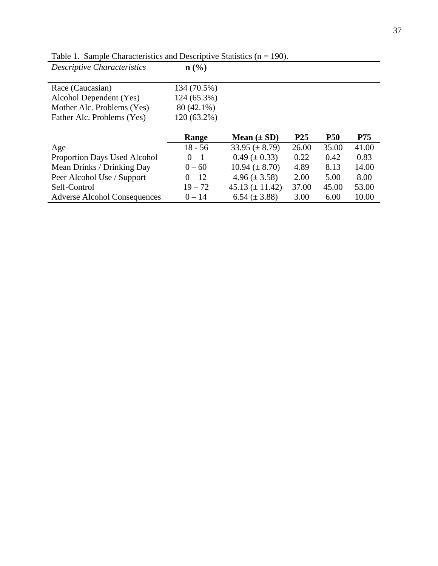| <b>Descriptive Characteristics</b>  | $n\left(\frac{0}{0}\right)$ |                       |                 |            |            |
|-------------------------------------|-----------------------------|-----------------------|-----------------|------------|------------|
|                                     |                             |                       |                 |            |            |
| Race (Caucasian)                    | 134 (70.5%)                 |                       |                 |            |            |
| Alcohol Dependent (Yes)             | 124 (65.3%)                 |                       |                 |            |            |
| Mother Alc. Problems (Yes)          | 80 (42.1%)                  |                       |                 |            |            |
| Father Alc. Problems (Yes)          | 120 (63.2%)                 |                       |                 |            |            |
|                                     |                             |                       |                 |            |            |
|                                     | Range                       | Mean $(\pm SD)$       | P <sub>25</sub> | <b>P50</b> | <b>P75</b> |
| Age                                 | $18 - 56$                   | 33.95 $(\pm 8.79)$    | 26.00           | 35.00      | 41.00      |
| Proportion Days Used Alcohol        | $0 - 1$                     | $0.49 \ (\pm 0.33)$   | 0.22            | 0.42       | 0.83       |
| Mean Drinks / Drinking Day          | $0 - 60$                    | $10.94 \ (\pm 8.70)$  | 4.89            | 8.13       | 14.00      |
| Peer Alcohol Use / Support          | $0 - 12$                    | 4.96 $(\pm 3.58)$     | 2.00            | 5.00       | 8.00       |
| Self-Control                        | $19 - 72$                   | $45.13 \ (\pm 11.42)$ | 37.00           | 45.00      | 53.00      |
| <b>Adverse Alcohol Consequences</b> | $0 - 14$                    | $6.54 (\pm 3.88)$     | 3.00            | 6.00       | 10.00      |

Table 1. Sample Characteristics and Descriptive Statistics  $(n = 190)$ .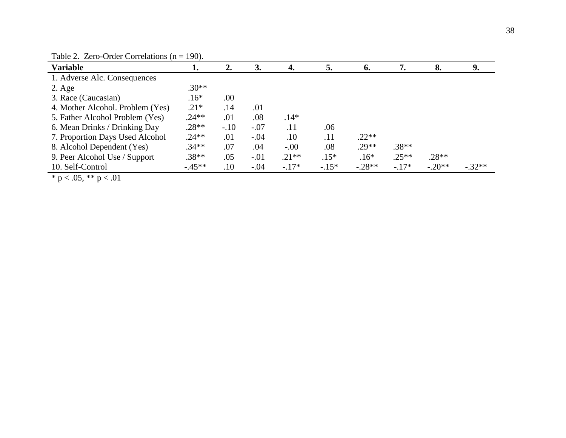| $10010$ $\equiv$ . $10010$ $01001$ $0011$ |          |         |        |         |        |          |         |          |          |
|-------------------------------------------|----------|---------|--------|---------|--------|----------|---------|----------|----------|
| <b>Variable</b>                           |          | 2.      | 3.     | 4.      | 5.     | b.       | 7.      | 8.       | 9.       |
| 1. Adverse Alc. Consequences              |          |         |        |         |        |          |         |          |          |
| $2. \text{Age}$                           | $.30**$  |         |        |         |        |          |         |          |          |
| 3. Race (Caucasian)                       | $.16*$   | .00     |        |         |        |          |         |          |          |
| 4. Mother Alcohol. Problem (Yes)          | $.21*$   | .14     | .01    |         |        |          |         |          |          |
| 5. Father Alcohol Problem (Yes)           | $.24**$  | .01     | .08    | $.14*$  |        |          |         |          |          |
| 6. Mean Drinks / Drinking Day             | $.28**$  | $-.10$  | $-.07$ | .11     | .06    |          |         |          |          |
| 7. Proportion Days Used Alcohol           | $.24**$  | .01     | $-.04$ | .10     | .11    | $.22**$  |         |          |          |
| 8. Alcohol Dependent (Yes)                | $.34**$  | .07     | .04    | $-.00$  | .08    | $.29**$  | $.38**$ |          |          |
| 9. Peer Alcohol Use / Support             | $.38**$  | .05     | $-.01$ | $.21**$ | $.15*$ | $.16*$   | $.25**$ | $.28**$  |          |
| 10. Self-Control                          | $-.45**$ | $.10\,$ | $-.04$ | $-.17*$ | $-15*$ | $-.28**$ | $-17*$  | $-.20**$ | $-.32**$ |
|                                           |          |         |        |         |        |          |         |          |          |

Table 2. Zero -Order Correlations (n = 190).

\* p < .05, \*\* p < .01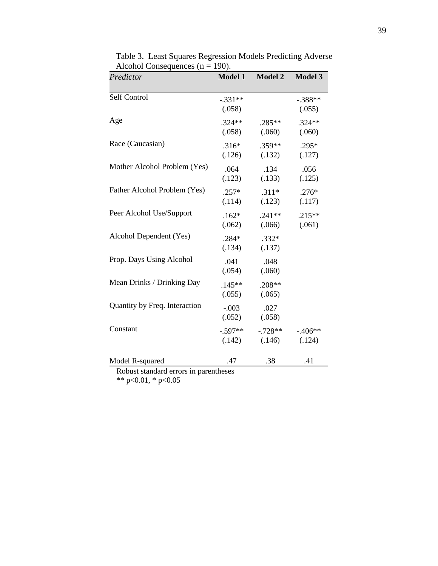| Predictor                     | <b>Model 1</b>       | <b>Model 2</b>       | <b>Model 3</b>      |
|-------------------------------|----------------------|----------------------|---------------------|
| Self Control                  | $-.331**$<br>(.058)  |                      | $-.388**$<br>(.055) |
| Age                           | $.324**$<br>(.058)   | $.285**$<br>(.060)   | $.324**$<br>(.060)  |
| Race (Caucasian)              | $.316*$<br>(.126)    | $.359**$<br>(.132)   | $.295*$<br>(.127)   |
| Mother Alcohol Problem (Yes)  | .064<br>(.123)       | .134<br>(.133)       | .056<br>(.125)      |
| Father Alcohol Problem (Yes)  | $.257*$<br>(.114)    | $.311*$<br>(.123)    | $.276*$<br>(.117)   |
| Peer Alcohol Use/Support      | $.162*$<br>(.062)    | $.241**$<br>(.066)   | $.215**$<br>(.061)  |
| Alcohol Dependent (Yes)       | $.284*$<br>(.134)    | $.332*$<br>(.137)    |                     |
| Prop. Days Using Alcohol      | .041<br>(.054)       | .048<br>(.060)       |                     |
| Mean Drinks / Drinking Day    | $.145**$<br>(.055)   | $.208**$<br>(.065)   |                     |
| Quantity by Freq. Interaction | $-.003$<br>(.052)    | .027<br>(.058)       |                     |
| Constant                      | $-0.597**$<br>(.142) | $-0.728**$<br>(.146) | $-.406**$<br>(.124) |
| Model R-squared<br>$\bullet$  | .47                  | .38                  | .41                 |

Table 3. Least Squares Regression Models Predicting Adverse Alcohol Consequences ( $n = 190$ ).

Robust standard errors in parentheses

\*\* p<0.01, \* p<0.05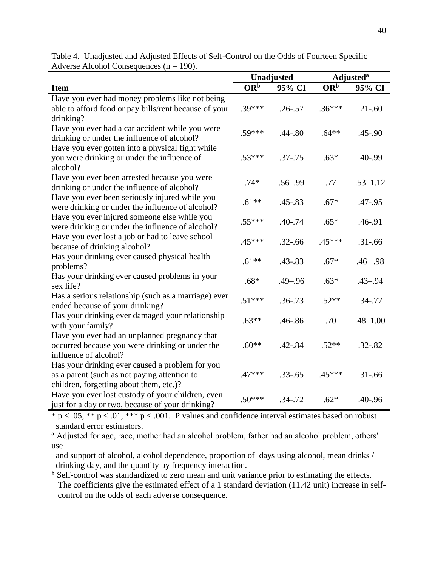|                                                       | Unadjusted      |             | <b>Adjusted</b> <sup>a</sup> |              |
|-------------------------------------------------------|-----------------|-------------|------------------------------|--------------|
| <b>Item</b>                                           | OR <sup>b</sup> | 95% CI      | $OR^b$                       | 95% CI       |
| Have you ever had money problems like not being       |                 |             |                              |              |
| able to afford food or pay bills/rent because of your | $.39***$        | $.26 - .57$ | $.36***$                     | $.21 - .60$  |
| drinking?                                             |                 |             |                              |              |
| Have you ever had a car accident while you were       | .59***          | $.44 - .80$ | $.64**$                      | $.45 - .90$  |
| drinking or under the influence of alcohol?           |                 |             |                              |              |
| Have you ever gotten into a physical fight while      |                 |             |                              |              |
| you were drinking or under the influence of           | $.53***$        | $.37 - .75$ | $.63*$                       | .40-.99      |
| alcohol?                                              |                 |             |                              |              |
| Have you ever been arrested because you were          | $.74*$          | $.56 - .99$ | .77                          | $.53 - 1.12$ |
| drinking or under the influence of alcohol?           |                 |             |                              |              |
| Have you ever been seriously injured while you        | $.61**$         | $.45 - .83$ | $.67*$                       | $.47 - .95$  |
| were drinking or under the influence of alcohol?      |                 |             |                              |              |
| Have you ever injured someone else while you          | $.55***$        | $.40 - .74$ | $.65*$                       | $.46 - .91$  |
| were drinking or under the influence of alcohol?      |                 |             |                              |              |
| Have you ever lost a job or had to leave school       | $.45***$        | $.32 - .66$ | .45***                       | $.31 - .66$  |
| because of drinking alcohol?                          |                 |             |                              |              |
| Has your drinking ever caused physical health         | $.61**$         | $.43 - .83$ | $.67*$                       | $.46 - .98$  |
| problems?                                             |                 |             |                              |              |
| Has your drinking ever caused problems in your        | $.68*$          | $.49 - .96$ | $.63*$                       | $.43 - .94$  |
| sex life?                                             |                 |             |                              |              |
| Has a serious relationship (such as a marriage) ever  | $.51***$        | $.36 - .73$ | $.52**$                      | $.34 - .77$  |
| ended because of your drinking?                       |                 |             |                              |              |
| Has your drinking ever damaged your relationship      | $.63**$         | $.46 - .86$ | .70                          | $.48 - 1.00$ |
| with your family?                                     |                 |             |                              |              |
| Have you ever had an unplanned pregnancy that         |                 |             |                              |              |
| occurred because you were drinking or under the       | $.60**$         | $.42 - .84$ | $.52**$                      | $.32 - .82$  |
| influence of alcohol?                                 |                 |             |                              |              |
| Has your drinking ever caused a problem for you       |                 |             |                              |              |
| as a parent (such as not paying attention to          | $.47***$        | $.33 - .65$ | $.45***$                     | $.31 - .66$  |
| children, forgetting about them, etc.)?               |                 |             |                              |              |
| Have you ever lost custody of your children, even     | $.50***$        | $.34 - .72$ | $.62*$                       | $.40 - .96$  |
| just for a day or two, because of your drinking?      |                 |             |                              |              |

Table 4. Unadjusted and Adjusted Effects of Self-Control on the Odds of Fourteen Specific Adverse Alcohol Consequences (n = 190).

\*  $p \le 0.05$ , \*\*  $p \le 0.01$ , \*\*\*  $p \le 0.001$ . P values and confidence interval estimates based on robust standard error estimators.

**<sup>a</sup>** Adjusted for age, race, mother had an alcohol problem, father had an alcohol problem, others' use

 and support of alcohol, alcohol dependence, proportion of days using alcohol, mean drinks / drinking day, and the quantity by frequency interaction.

**b** Self-control was standardized to zero mean and unit variance prior to estimating the effects. The coefficients give the estimated effect of a 1 standard deviation (11.42 unit) increase in self control on the odds of each adverse consequence.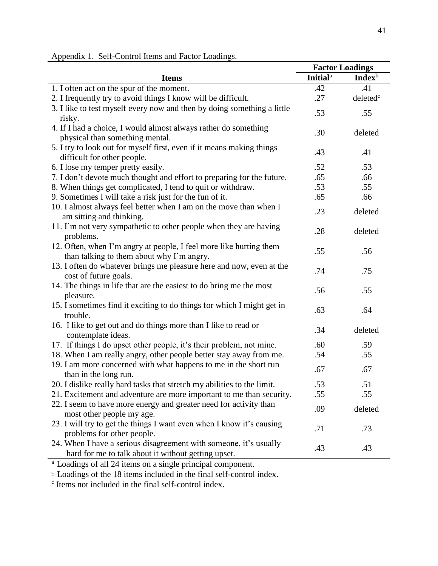|                                                                                                                          | <b>Factor Loadings</b>      |                           |
|--------------------------------------------------------------------------------------------------------------------------|-----------------------------|---------------------------|
| <b>Items</b>                                                                                                             | <b>Initial</b> <sup>a</sup> | <b>Index</b> <sup>b</sup> |
| 1. I often act on the spur of the moment.                                                                                | .42                         | .41                       |
| 2. I frequently try to avoid things I know will be difficult.                                                            | .27                         | deleted <sup>c</sup>      |
| 3. I like to test myself every now and then by doing something a little<br>risky.                                        | .53                         | .55                       |
| 4. If I had a choice, I would almost always rather do something<br>physical than something mental.                       | .30                         | deleted                   |
| 5. I try to look out for myself first, even if it means making things<br>difficult for other people.                     | .43                         | .41                       |
| 6. I lose my temper pretty easily.                                                                                       | .52                         | .53                       |
| 7. I don't devote much thought and effort to preparing for the future.                                                   | .65                         | .66                       |
| 8. When things get complicated, I tend to quit or withdraw.                                                              | .53                         | .55                       |
| 9. Sometimes I will take a risk just for the fun of it.                                                                  | .65                         | .66                       |
| 10. I almost always feel better when I am on the move than when I<br>am sitting and thinking.                            | .23                         | deleted                   |
| 11. I'm not very sympathetic to other people when they are having<br>problems.                                           | .28                         | deleted                   |
| 12. Often, when I'm angry at people, I feel more like hurting them<br>than talking to them about why I'm angry.          | .55                         | .56                       |
| 13. I often do whatever brings me pleasure here and now, even at the<br>cost of future goals.                            | .74                         | .75                       |
| 14. The things in life that are the easiest to do bring me the most<br>pleasure.                                         | .56                         | .55                       |
| 15. I sometimes find it exciting to do things for which I might get in<br>trouble.                                       | .63                         | .64                       |
| 16. I like to get out and do things more than I like to read or<br>contemplate ideas.                                    | .34                         | deleted                   |
| 17. If things I do upset other people, it's their problem, not mine.                                                     | .60                         | .59                       |
| 18. When I am really angry, other people better stay away from me.                                                       | .54                         | .55                       |
| 19. I am more concerned with what happens to me in the short run<br>than in the long run.                                | .67                         | .67                       |
| 20. I dislike really hard tasks that stretch my abilities to the limit.                                                  | .53                         | .51                       |
| 21. Excitement and adventure are more important to me than security.                                                     | .55                         | .55                       |
| 22. I seem to have more energy and greater need for activity than<br>most other people my age.                           | .09                         | deleted                   |
| 23. I will try to get the things I want even when I know it's causing<br>problems for other people.                      | .71                         | .73                       |
| 24. When I have a serious disagreement with someone, it's usually<br>hard for me to talk about it without getting upset. | .43                         | .43                       |

<sup>a</sup> Loadings of all 24 items on a single principal component.

 $\Delta$  Loadings of the 18 items included in the final self-control index.

c Items not included in the final self-control index.